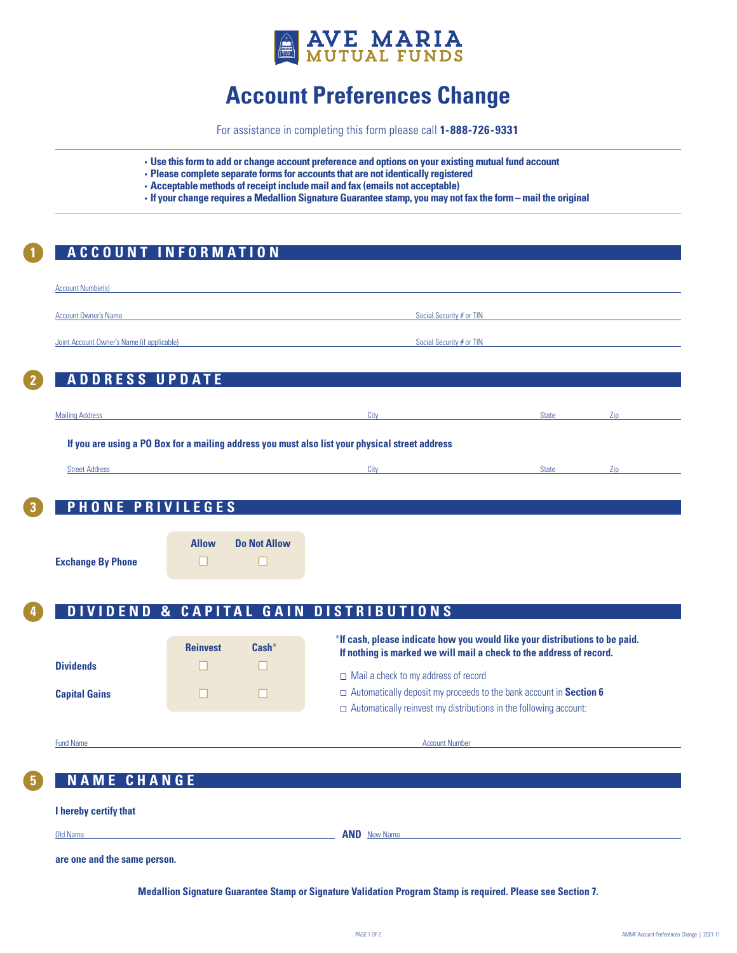

# **Account Preferences Change**

For assistance in completing this form please call **1-888-726-9331**

- **Use this form to add or change account preference and options on your existing mutual fund account**
- **Please complete separate forms for accounts that are not identically registered**
- **Acceptable methods of receipt include mail and fax (emails not acceptable)**
- **If your change requires a Medallion Signature Guarantee stamp, you may not fax the form mail the original**

### **1 ACCOUNT INFORMATION**

| <b>Account Number(s)</b>                   |                                                                                                 |              |                 |
|--------------------------------------------|-------------------------------------------------------------------------------------------------|--------------|-----------------|
| <b>Account Owner's Name</b>                | Social Security # or TIN                                                                        |              |                 |
| Joint Account Owner's Name (if applicable) | Social Security # or TIN                                                                        |              |                 |
| <b>ADDRESS UPDATE</b>                      |                                                                                                 |              |                 |
|                                            |                                                                                                 |              |                 |
| <b>Mailing Address</b>                     | City                                                                                            | <b>State</b> | 7 <sub>in</sub> |
|                                            | If you are using a PO Box for a mailing address you must also list your physical street address |              |                 |
| <b>Street Address</b>                      | City                                                                                            | <b>State</b> | Zip             |

**3 PHONE PRIVILEGES**

**Allow Do Not Allow Exchange By Phone**  $\Box$  $\Box$ 

## **4 DIVIDEND & CAPITAL GAIN DISTRIBUTIONS**

|                      | <b>Reinvest</b> | $\text{Cash}^*$ |  |
|----------------------|-----------------|-----------------|--|
| <b>Dividends</b>     |                 |                 |  |
| <b>Capital Gains</b> |                 |                 |  |

\***If cash, please indicate how you would like your distributions to be paid. If nothing is marked we will mail a check to the address of record.**

- □ Mail a check to my address of record
- Automatically deposit my proceeds to the bank account in **Section 6**
- $\Box$  Automatically reinvest my distributions in the following account:

Fund Name Account Number

#### **5 NAME CHANGE**

**I hereby certify that**

<u>Old Name **AND** New Name</u>

**are one and the same person.**

**Medallion Signature Guarantee Stamp or Signature Validation Program Stamp is required. Please see Section 7.**